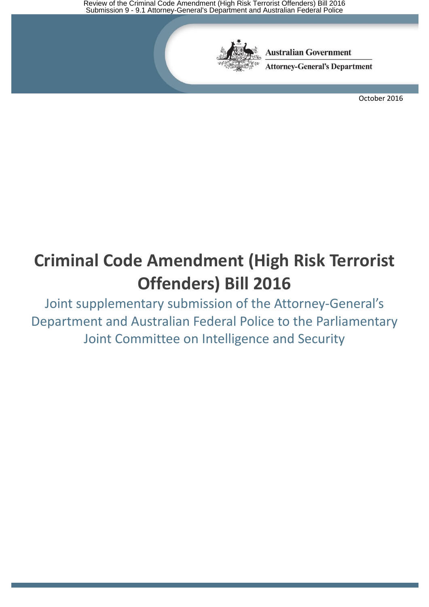Review of the Criminal Code Amendment (High Risk Terrorist Offenders) Bill 2016 Submission 9 - 9.1 Attorney-General's Department and Australian Federal Police



**Australian Government** 

**Attorney-General's Department** 

October 2016

# **Criminal Code Amendment (High Risk Terrorist Offenders) Bill 2016**

Joint supplementary submission of the Attorney-General's Department and Australian Federal Police to the Parliamentary Joint Committee on Intelligence and Security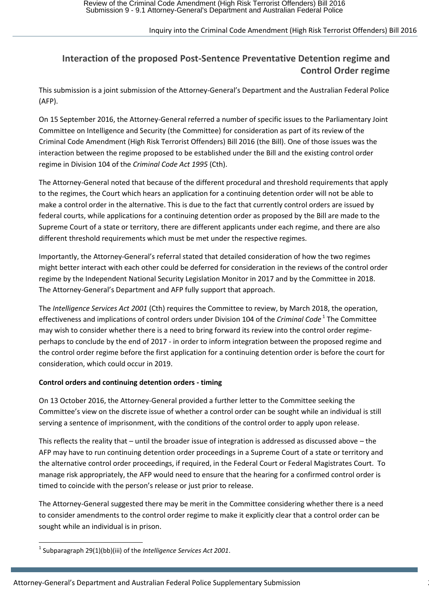## Inquiry into the Criminal Code Amendment (High Risk Terrorist Offenders) Bill 2016

# **Interaction of the proposed Post-Sentence Preventative Detention regime and Control Order regime**

This submission is a joint submission of the Attorney-General's Department and the Australian Federal Police (AFP).

On 15 September 2016, the Attorney-General referred a number of specific issues to the Parliamentary Joint Committee on Intelligence and Security (the Committee) for consideration as part of its review of the Criminal Code Amendment (High Risk Terrorist Offenders) Bill 2016 (the Bill). One of those issues was the interaction between the regime proposed to be established under the Bill and the existing control order regime in Division 104 of the *Criminal Code Act 1995* (Cth).

The Attorney-General noted that because of the different procedural and threshold requirements that apply to the regimes, the Court which hears an application for a continuing detention order will not be able to make a control order in the alternative. This is due to the fact that currently control orders are issued by federal courts, while applications for a continuing detention order as proposed by the Bill are made to the Supreme Court of a state or territory, there are different applicants under each regime, and there are also different threshold requirements which must be met under the respective regimes.

Importantly, the Attorney-General's referral stated that detailed consideration of how the two regimes might better interact with each other could be deferred for consideration in the reviews of the control order regime by the Independent National Security Legislation Monitor in 2017 and by the Committee in 2018. The Attorney-General's Department and AFP fully support that approach.

The *Intelligence Services Act 2001* (Cth) requires the Committee to review, by March 2018, the operation, effectiveness and implications of control orders under Division 104 of the *Criminal Code*<sup>1</sup> The Committee may wish to consider whether there is a need to bring forward its review into the control order regimeperhaps to conclude by the end of 2017 - in order to inform integration between the proposed regime and the control order regime before the first application for a continuing detention order is before the court for consideration, which could occur in 2019.

#### **Control orders and continuing detention orders - timing**

On 13 October 2016, the Attorney-General provided a further letter to the Committee seeking the Committee's view on the discrete issue of whether a control order can be sought while an individual is still serving a sentence of imprisonment, with the conditions of the control order to apply upon release.

This reflects the reality that – until the broader issue of integration is addressed as discussed above – the AFP may have to run continuing detention order proceedings in a Supreme Court of a state or territory and the alternative control order proceedings, if required, in the Federal Court or Federal Magistrates Court. To manage risk appropriately, the AFP would need to ensure that the hearing for a confirmed control order is timed to coincide with the person's release or just prior to release.

The Attorney-General suggested there may be merit in the Committee considering whether there is a need to consider amendments to the control order regime to make it explicitly clear that a control order can be sought while an individual is in prison.

**<sup>.</sup>** 1 Subparagraph 29(1)(bb)(iii) of the *Intelligence Services Act 2001*.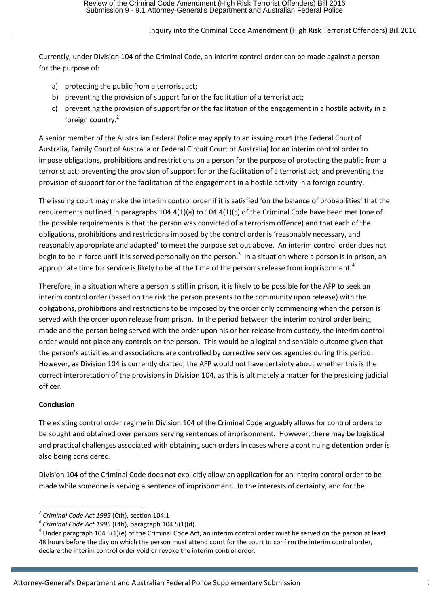## Inquiry into the Criminal Code Amendment (High Risk Terrorist Offenders) Bill 2016

Currently, under Division 104 of the Criminal Code, an interim control order can be made against a person for the purpose of:

- a) protecting the public from a terrorist act;
- b) preventing the provision of support for or the facilitation of a terrorist act;
- c) preventing the provision of support for or the facilitation of the engagement in a hostile activity in a foreign country.<sup>2</sup>

A senior member of the Australian Federal Police may apply to an issuing court (the Federal Court of Australia, Family Court of Australia or Federal Circuit Court of Australia) for an interim control order to impose obligations, prohibitions and restrictions on a person for the purpose of protecting the public from a terrorist act; preventing the provision of support for or the facilitation of a terrorist act; and preventing the provision of support for or the facilitation of the engagement in a hostile activity in a foreign country.

The issuing court may make the interim control order if it is satisfied 'on the balance of probabilities' that the requirements outlined in paragraphs 104.4(1)(a) to 104.4(1)(c) of the Criminal Code have been met (one of the possible requirements is that the person was convicted of a terrorism offence) and that each of the obligations, prohibitions and restrictions imposed by the control order is 'reasonably necessary, and reasonably appropriate and adapted' to meet the purpose set out above. An interim control order does not begin to be in force until it is served personally on the person.<sup>3</sup> In a situation where a person is in prison, an appropriate time for service is likely to be at the time of the person's release from imprisonment.<sup>4</sup>

Therefore, in a situation where a person is still in prison, it is likely to be possible for the AFP to seek an interim control order (based on the risk the person presents to the community upon release) with the obligations, prohibitions and restrictions to be imposed by the order only commencing when the person is served with the order upon release from prison. In the period between the interim control order being made and the person being served with the order upon his or her release from custody, the interim control order would not place any controls on the person. This would be a logical and sensible outcome given that the person's activities and associations are controlled by corrective services agencies during this period. However, as Division 104 is currently drafted, the AFP would not have certainty about whether this is the correct interpretation of the provisions in Division 104, as this is ultimately a matter for the presiding judicial officer.

# **Conclusion**

 $\overline{a}$ 

The existing control order regime in Division 104 of the Criminal Code arguably allows for control orders to be sought and obtained over persons serving sentences of imprisonment. However, there may be logistical and practical challenges associated with obtaining such orders in cases where a continuing detention order is also being considered.

Division 104 of the Criminal Code does not explicitly allow an application for an interim control order to be made while someone is serving a sentence of imprisonment. In the interests of certainty, and for the

<sup>2</sup> *Criminal Code Act 1995* (Cth), section 104.1

<sup>3</sup> *Criminal Code Act 1995* (Cth), paragraph 104.5(1)(d).

 $^4$  Under paragraph 104.5(1)(e) of the Criminal Code Act, an interim control order must be served on the person at least 48 hours before the day on which the person must attend court for the court to confirm the interim control order, declare the interim control order void or revoke the interim control order.